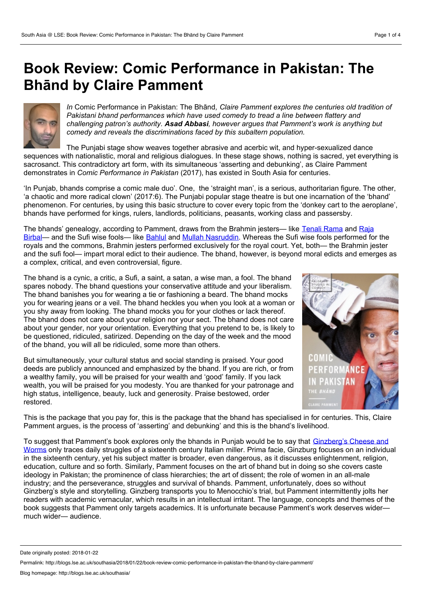## **Book Review: Comic Performance in Pakistan: The Bhānd by Claire Pamment**



*In* Comic Performance in Pakistan: The Bhānd*, Claire Pamment explores the centuries old tradition of Pakistani bhand performances which have used comedy to tread a line between flattery and challenging patron's authority. Asad Abbasi, however argues that Pamment's work is anything but comedy and reveals the discriminations faced by this subaltern population.*

The Punjabi stage show weaves together abrasive and acerbic wit, and hyper-sexualized dance sequences with nationalistic, moral and religious dialogues. In these stage shows, nothing is sacred, yet everything is sacrosanct. This contradictory art form, with its simultaneous 'asserting and debunking', as Claire Pamment demonstrates in *Comic Performance in Pakistan* (2017), has existed in South Asia for centuries.

'In Punjab, bhands comprise a comic male duo'. One, the 'straight man', is a serious, authoritarian figure. The other, 'a chaotic and more radical clown' (2017:6). The Punjabi popular stage theatre is but one incarnation of the 'bhand' phenomenon. For centuries, by using this basic structure to cover every topic from the 'donkey cart to the aeroplane', bhands have performed for kings, rulers, landlords, politicians, peasants, working class and passersby.

The bhands' [genealogy,](https://en.wikipedia.org/wiki/Birbal) according to Pamment, draws from the Brahmin jesters— like [Tenali](https://en.wikipedia.org/wiki/Tenali_Rama) Rama and Raja Birbal— and the Sufi wise fools— like [Bahlul](https://en.wikipedia.org/wiki/Bahlool) and Mullah [Nasruddin](https://en.wikibooks.org/wiki/Sufism/Nasrudin). Whereas the Sufi wise fools performed for the royals and the commons, Brahmin jesters performed exclusively for the royal court. Yet, both— the Brahmin jester and the sufi fool— impart moral edict to their audience. The bhand, however, is beyond moral edicts and emerges as a complex, critical, and even controversial, figure.

The bhand is a cynic, a critic, a Sufi, a saint, a satan, a wise man, a fool. The bhand spares nobody. The bhand questions your conservative attitude and your liberalism. The bhand banishes you for wearing a tie or fashioning a beard. The bhand mocks you for wearing jeans or a veil. The bhand heckles you when you look at a woman or you shy away from looking. The bhand mocks you for your clothes or lack thereof. The bhand does not care about your religion nor your sect. The bhand does not care about your gender, nor your orientation. Everything that you pretend to be, is likely to be questioned, ridiculed, satirized. Depending on the day of the week and the mood of the bhand, you will all be ridiculed, some more than others.

But simultaneously, your cultural status and social standing is praised. Your good deeds are publicly announced and emphasized by the bhand. If you are rich, or from PERFORMANCE a wealthy family, you will be praised for your wealth and 'good' family. If you lack wealth, you will be praised for you modesty. You are thanked for your patronage and high status, intelligence, beauty, luck and generosity. Praise bestowed, order restored.



This is the package that you pay for, this is the package that the bhand has specialised in for centuries. This, Claire Pamment argues, is the process of 'asserting' and debunking' and this is the bhand's livelihood.

To suggest that [Pamment's](https://jhupbooks.press.jhu.edu/content/cheese-and-worms) book explores only the bhands in Punjab would be to say that Ginzberg's Cheese and Worms only traces daily struggles of a sixteenth century Italian miller. Prima facie, Ginzburg focuses on an individual in the sixteenth century, yet his subject matter is broader, even dangerous, as it discusses enlightenment, religion, education, culture and so forth. Similarly, Pamment focuses on the art of bhand but in doing so she covers caste ideology in Pakistan; the prominence of class hierarchies; the art of dissent; the role of women in an all-male industry; and the perseverance, struggles and survival of bhands. Pamment, unfortunately, does so without Ginzberg's style and storytelling. Ginzberg transports you to Menocchio's trial, but Pamment intermittently jolts her readers with academic vernacular, which results in an intellectual irritant. The language, concepts and themes of the book suggests that Pamment only targets academics. It is unfortunate because Pamment's work deserves wider much wider— audience.

Date originally posted: 2018-01-22

Permalink: http://blogs.lse.ac.uk/southasia/2018/01/22/book-review-comic-performance-in-pakistan-the-bhand-by-claire-pamment/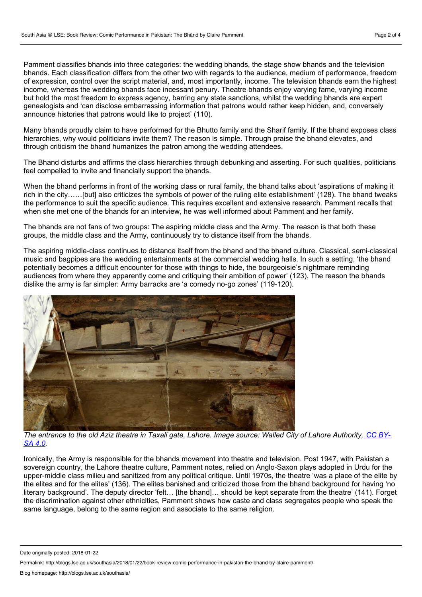Pamment classifies bhands into three categories: the wedding bhands, the stage show bhands and the television bhands. Each classification differs from the other two with regards to the audience, medium of performance, freedom of expression, control over the script material, and, most importantly, income. The television bhands earn the highest income, whereas the wedding bhands face incessant penury. Theatre bhands enjoy varying fame, varying income but hold the most freedom to express agency, barring any state sanctions, whilst the wedding bhands are expert genealogists and 'can disclose embarrassing information that patrons would rather keep hidden, and, conversely announce histories that patrons would like to project' (110).

Many bhands proudly claim to have performed for the Bhutto family and the Sharif family. If the bhand exposes class hierarchies, why would politicians invite them? The reason is simple. Through praise the bhand elevates, and through criticism the bhand humanizes the patron among the wedding attendees.

The Bhand disturbs and affirms the class hierarchies through debunking and asserting. For such qualities, politicians feel compelled to invite and financially support the bhands.

When the bhand performs in front of the working class or rural family, the bhand talks about 'aspirations of making it rich in the city……[but] also criticizes the symbols of power of the ruling elite establishment' (128). The bhand tweaks the performance to suit the specific audience. This requires excellent and extensive research. Pamment recalls that when she met one of the bhands for an interview, he was well informed about Pamment and her family.

The bhands are not fans of two groups: The aspiring middle class and the Army. The reason is that both these groups, the middle class and the Army, continuously try to distance itself from the bhands.

The aspiring middle-class continues to distance itself from the bhand and the bhand culture. Classical, semi-classical music and bagpipes are the wedding entertainments at the commercial wedding halls. In such a setting, 'the bhand potentially becomes a difficult encounter for those with things to hide, the bourgeoisie's nightmare reminding audiences from where they apparently come and critiquing their ambition of power' (123). The reason the bhands dislike the army is far simpler: Army barracks are 'a comedy no-go zones' (119-120).



The entrance to the old Aziz theatre in Taxali gate, Lahore. Image source: Walled City of Lahore [Authority,](https://commons.wikimedia.org/wiki/File:Taxali_Gate_1_(WCLA).jpg) CC BY-*SA 4.0.*

Ironically, the Army is responsible for the bhands movement into theatre and television. Post 1947, with Pakistan a sovereign country, the Lahore theatre culture, Pamment notes, relied on Anglo-Saxon plays adopted in Urdu for the upper-middle class milieu and sanitized from any political critique. Until 1970s, the theatre 'was a place of the elite by the elites and for the elites' (136). The elites banished and criticized those from the bhand background for having 'no literary background'. The deputy director 'felt... [the bhand]... should be kept separate from the theatre' (141). Forget the discrimination against other ethnicities, Pamment shows how caste and class segregates people who speak the same language, belong to the same region and associate to the same religion.

Date originally posted: 2018-01-22

Permalink: http://blogs.lse.ac.uk/southasia/2018/01/22/book-review-comic-performance-in-pakistan-the-bhand-by-claire-pamment/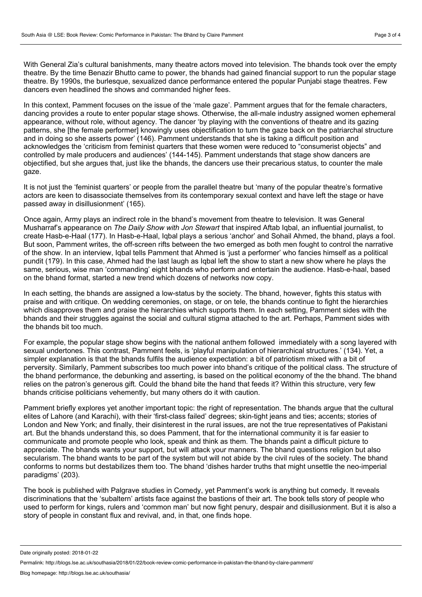With General Zia's cultural banishments, many theatre actors moved into television. The bhands took over the empty theatre. By the time Benazir Bhutto came to power, the bhands had gained financial support to run the popular stage theatre. By 1990s, the burlesque, sexualized dance performance entered the popular Punjabi stage theatres. Few dancers even headlined the shows and commanded higher fees.

In this context, Pamment focuses on the issue of the 'male gaze'. Pamment argues that for the female characters, dancing provides a route to enter popular stage shows. Otherwise, the all-male industry assigned women ephemeral appearance, without role, without agency. The dancer 'by playing with the conventions of theatre and its gazing patterns, she [the female performer] knowingly uses objectification to turn the gaze back on the patriarchal structure and in doing so she asserts power' (146). Pamment understands that she is taking a difficult position and acknowledges the 'criticism from feminist quarters that these women were reduced to "consumerist objects" and controlled by male producers and audiences' (144-145). Pamment understands that stage show dancers are objectified, but she argues that, just like the bhands, the dancers use their precarious status, to counter the male gaze.

It is not just the 'feminist quarters' or people from the parallel theatre but 'many of the popular theatre's formative actors are keen to disassociate themselves from its contemporary sexual context and have left the stage or have passed away in disillusionment' (165).

Once again, Army plays an indirect role in the bhand's movement from theatre to television. It was General Musharraf's appearance on *The Daily Show with Jon Stewart* that inspired Aftab Iqbal, an influential journalist, to create Hasb-e-Haal (177). In Hasb-e-Haal, Iqbal plays a serious 'anchor' and Sohail Ahmed, the bhand, plays a fool. But soon, Pamment writes, the off-screen rifts between the two emerged as both men fought to control the narrative of the show. In an interview, Iqbal tells Pamment that Ahmed is 'just a performer' who fancies himself as a political pundit (179). In this case, Ahmed had the last laugh as Iqbal left the show tostart a new show where he plays the same, serious, wise man 'commanding' eight bhands who perform and entertain the audience. Hasb-e-haal, based on the bhand format, started a new trend which dozens of networks now copy.

In each setting, the bhands are assigned a low-status by the society. The bhand, however, fights this status with praise and with critique. On wedding ceremonies, on stage, or on tele, the bhands continue to fight the hierarchies which disapproves them and praise the hierarchies which supports them. In each setting, Pamment sides with the bhands and their struggles against the social and cultural stigma attached to the art. Perhaps, Pamment sides with the bhands bit too much.

For example, the popular stage show begins with the national anthem followed immediately with a song layered with sexual undertones. This contrast, Pamment feels, is 'playful manipulation of hierarchical structures.' (134). Yet, a simpler explanation is that the bhands fulfils the audience expectation: a bit of patriotism mixed with a bit of perversity. Similarly, Pamment subscribes too much power into bhand's critique of the political class. The structure of the bhand performance, the debunking and asserting, is based on the political economy of the the bhand. The bhand relies on the patron's generous gift. Could the bhand bite the hand that feeds it? Within this structure, very few bhands criticise politicians vehemently, but many others do it with caution.

Pamment briefly explores yet another important topic: the right of representation. The bhands argue that the cultural elites of Lahore (and Karachi), with their 'first-class failed' degrees; skin-tight jeans and ties; accents; stories of London and New York; and finally, their disinterest in the rural issues, are not the true representatives of Pakistani art. But the bhands understand this, so does Pamment, that for the international community it is far easier to communicate and promote people who look, speak and think as them. The bhands paint a difficult picture to appreciate. The bhands wants your support, but will attack your manners. The bhand questions religion but also secularism. The bhand wants to be part of the system but will not abide by the civil rules of the society. The bhand conforms to norms butdestabilizes them too. The bhand 'dishes harder truths that might unsettle the neo-imperial paradigms' (203).

The book is published with Palgrave studies in Comedy, yet Pamment's work is anything but comedy. It reveals discriminations that the 'subaltern' artists face against the bastions of their art. The book tells story of people who used to perform for kings, rulers and 'common man'but now fight penury, despair and disillusionment. But it is also a story of people in constant flux and revival, and, in that, one finds hope.

Date originally posted: 2018-01-22

Permalink: http://blogs.lse.ac.uk/southasia/2018/01/22/book-review-comic-performance-in-pakistan-the-bhand-by-claire-pamment/